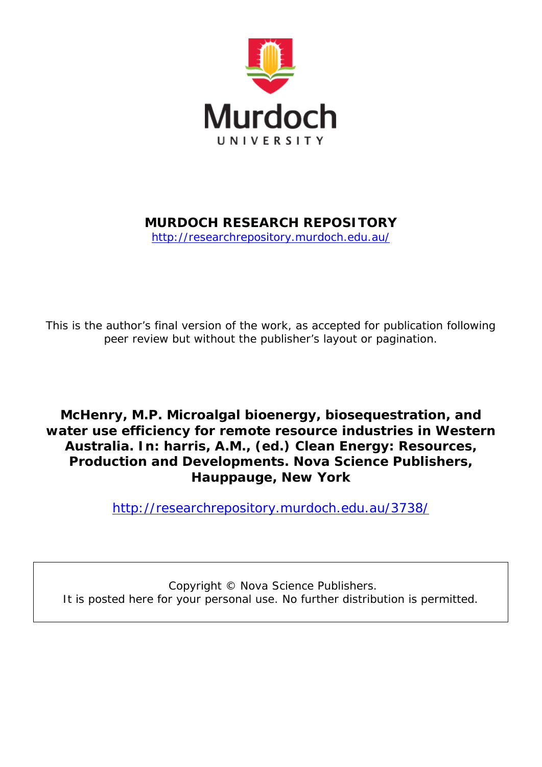

## **MURDOCH RESEARCH REPOSITORY**

<http://researchrepository.murdoch.edu.au/>

*This is the author's final version of the work, as accepted for publication following peer review but without the publisher's layout or pagination.*

**McHenry, M.P.** *Microalgal bioenergy, biosequestration, and water use efficiency for remote resource industries in Western Australia.* **In: harris, A.M., (ed.) Clean Energy: Resources, Production and Developments. Nova Science Publishers, Hauppauge, New York**

<http://researchrepository.murdoch.edu.au/3738/>

Copyright © Nova Science Publishers. It is posted here for your personal use. No further distribution is permitted.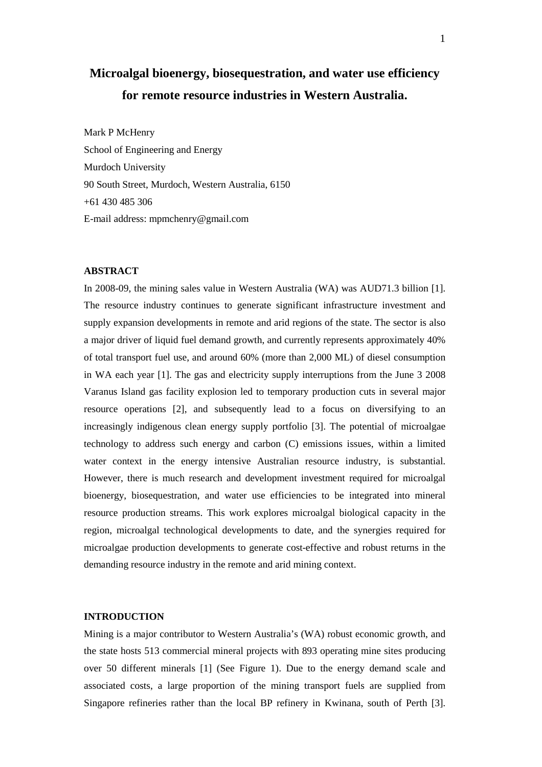# **Microalgal bioenergy, biosequestration, and water use efficiency for remote resource industries in Western Australia.**

Mark P McHenry School of Engineering and Energy Murdoch University 90 South Street, Murdoch, Western Australia, 6150 +61 430 485 306 E-mail address: mpmchenry@gmail.com

## **ABSTRACT**

In 2008-09, the mining sales value in Western Australia (WA) was AUD71.3 billion [1]. The resource industry continues to generate significant infrastructure investment and supply expansion developments in remote and arid regions of the state. The sector is also a major driver of liquid fuel demand growth, and currently represents approximately 40% of total transport fuel use, and around 60% (more than 2,000 ML) of diesel consumption in WA each year [1]. The gas and electricity supply interruptions from the June 3 2008 Varanus Island gas facility explosion led to temporary production cuts in several major resource operations [2], and subsequently lead to a focus on diversifying to an increasingly indigenous clean energy supply portfolio [3]. The potential of microalgae technology to address such energy and carbon (C) emissions issues, within a limited water context in the energy intensive Australian resource industry, is substantial. However, there is much research and development investment required for microalgal bioenergy, biosequestration, and water use efficiencies to be integrated into mineral resource production streams. This work explores microalgal biological capacity in the region, microalgal technological developments to date, and the synergies required for microalgae production developments to generate cost-effective and robust returns in the demanding resource industry in the remote and arid mining context.

## **INTRODUCTION**

Mining is a major contributor to Western Australia's (WA) robust economic growth, and the state hosts 513 commercial mineral projects with 893 operating mine sites producing over 50 different minerals [1] (See Figure 1). Due to the energy demand scale and associated costs, a large proportion of the mining transport fuels are supplied from Singapore refineries rather than the local BP refinery in Kwinana, south of Perth [3].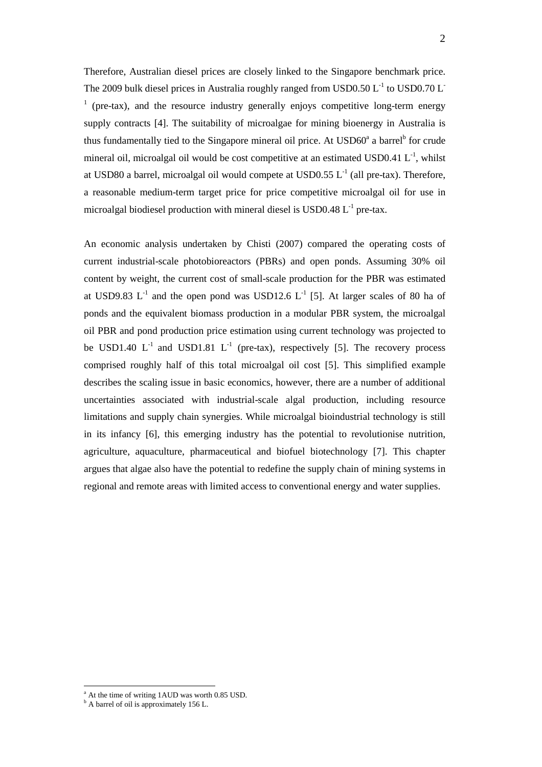Therefore, Australian diesel prices are closely linked to the Singapore benchmark price. The 2009 bulk diesel prices in Australia roughly ranged from USD0.50  $L^{-1}$  to USD0.70  $L^{-1}$ <sup>1</sup> (pre-tax), and the resource industry generally enjoys competitive long-term energy supply contracts [4]. The suitability of microalgae for mining bioenergy in Australia is thus fundamentally tied to the Singapore mineral oil price. At  $\text{USD60}^{\text{a}}$  a barrel<sup>b</sup> for crude mineral oil, microalgal oil would be cost competitive at an estimated USD0.41  $L^{-1}$ , whilst at USD80 a barrel, microalgal oil would compete at USD0.55  $L^{-1}$  (all pre-tax). Therefore, a reasonable medium-term target price for price competitive microalgal oil for use in microalgal biodiesel production with mineral diesel is USD0.48  $L^{-1}$  pre-tax.

An economic analysis undertaken by Chisti (2007) compared the operating costs of current industrial-scale photobioreactors (PBRs) and open ponds. Assuming 30% oil content by weight, the current cost of small-scale production for the PBR was estimated at USD9.83  $L^{-1}$  and the open pond was USD12.6  $L^{-1}$  [5]. At larger scales of 80 ha of ponds and the equivalent biomass production in a modular PBR system, the microalgal oil PBR and pond production price estimation using current technology was projected to be USD1.40  $L^{-1}$  and USD1.81  $L^{-1}$  (pre-tax), respectively [5]. The recovery process comprised roughly half of this total microalgal oil cost [5]. This simplified example describes the scaling issue in basic economics, however, there are a number of additional uncertainties associated with industrial-scale algal production, including resource limitations and supply chain synergies. While microalgal bioindustrial technology is still in its infancy [6], this emerging industry has the potential to revolutionise nutrition, agriculture, aquaculture, pharmaceutical and biofuel biotechnology [7]. This chapter argues that algae also have the potential to redefine the supply chain of mining systems in regional and remote areas with limited access to conventional energy and water supplies.

 $\overline{a}$ 

a At the time of writing 1AUD was worth 0.85 USD.

<sup>&</sup>lt;sup>b</sup> A barrel of oil is approximately 156 L.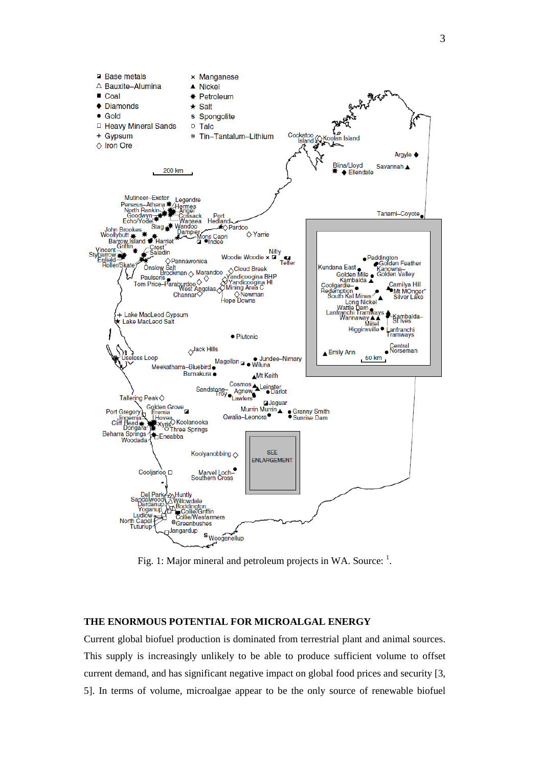

Fig. 1: Major mineral and petroleum projects in WA. Source:  $<sup>1</sup>$ .</sup>

## **THE ENORMOUS POTENTIAL FOR MICROALGAL ENERGY**

Current global biofuel production is dominated from terrestrial plant and animal sources. This supply is increasingly unlikely to be able to produce sufficient volume to offset current demand, and has significant negative impact on global food prices and security [3, 5]. In terms of volume, microalgae appear to be the only source of renewable biofuel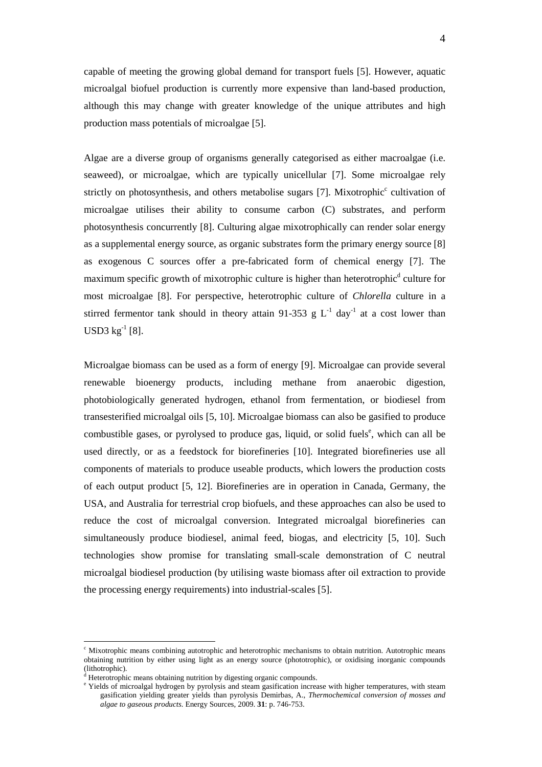capable of meeting the growing global demand for transport fuels [5]. However, aquatic microalgal biofuel production is currently more expensive than land-based production, although this may change with greater knowledge of the unique attributes and high production mass potentials of microalgae [5].

Algae are a diverse group of organisms generally categorised as either macroalgae (i.e. seaweed), or microalgae, which are typically unicellular [7]. Some microalgae rely strictly on photosynthesis, and others metabolise sugars [7]. Mixotrophic<sup>c</sup> cultivation of microalgae utilises their ability to consume carbon (C) substrates, and perform photosynthesis concurrently [8]. Culturing algae mixotrophically can render solar energy as a supplemental energy source, as organic substrates form the primary energy source [8] as exogenous C sources offer a pre-fabricated form of chemical energy [7]. The maximum specific growth of mixotrophic culture is higher than heterotrophic<sup>d</sup> culture for most microalgae [8]. For perspective, heterotrophic culture of *Chlorella* culture in a stirred fermentor tank should in theory attain 91-353 g  $L^{-1}$  day<sup>-1</sup> at a cost lower than  $USD3 kg^{-1} [8]$ .

Microalgae biomass can be used as a form of energy [9]. Microalgae can provide several renewable bioenergy products, including methane from anaerobic digestion, photobiologically generated hydrogen, ethanol from fermentation, or biodiesel from transesterified microalgal oils [5, 10]. Microalgae biomass can also be gasified to produce combustible gases, or pyrolysed to produce gas, liquid, or solid fuels<sup>e</sup>, which can all be used directly, or as a feedstock for biorefineries [10]. Integrated biorefineries use all components of materials to produce useable products, which lowers the production costs of each output product [5, 12]. Biorefineries are in operation in Canada, Germany, the USA, and Australia for terrestrial crop biofuels, and these approaches can also be used to reduce the cost of microalgal conversion. Integrated microalgal biorefineries can simultaneously produce biodiesel, animal feed, biogas, and electricity [5, 10]. Such technologies show promise for translating small-scale demonstration of C neutral microalgal biodiesel production (by utilising waste biomass after oil extraction to provide the processing energy requirements) into industrial-scales [5].

 $\overline{a}$ 

<sup>&</sup>lt;sup>c</sup> Mixotrophic means combining autotrophic and heterotrophic mechanisms to obtain nutrition. Autotrophic means obtaining nutrition by either using light as an energy source (phototrophic), or oxidising inorganic compounds (lithotrophic).

<sup>&</sup>lt;sup>d</sup> Heterotrophic means obtaining nutrition by digesting organic compounds.

<sup>&</sup>lt;sup>e</sup> Yields of microalgal hydrogen by pyrolysis and steam gasification increase with higher temperatures, with steam gasification yielding greater yields than pyrolysis Demirbas, A., *Thermochemical conversion of mosses and algae to gaseous products.* Energy Sources, 2009. **31**: p. 746-753.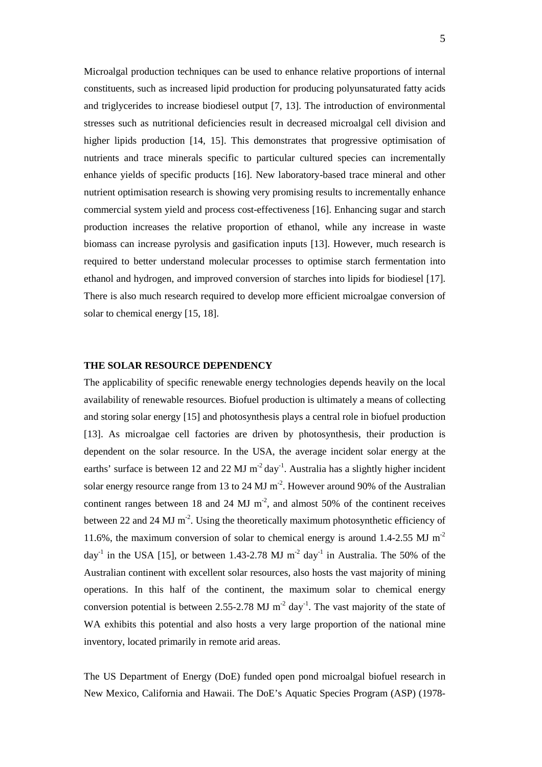Microalgal production techniques can be used to enhance relative proportions of internal constituents, such as increased lipid production for producing polyunsaturated fatty acids and triglycerides to increase biodiesel output [7, 13]. The introduction of environmental stresses such as nutritional deficiencies result in decreased microalgal cell division and higher lipids production [14, 15]. This demonstrates that progressive optimisation of nutrients and trace minerals specific to particular cultured species can incrementally enhance yields of specific products [16]. New laboratory-based trace mineral and other nutrient optimisation research is showing very promising results to incrementally enhance commercial system yield and process cost-effectiveness [16]. Enhancing sugar and starch production increases the relative proportion of ethanol, while any increase in waste biomass can increase pyrolysis and gasification inputs [13]. However, much research is required to better understand molecular processes to optimise starch fermentation into ethanol and hydrogen, and improved conversion of starches into lipids for biodiesel [17]. There is also much research required to develop more efficient microalgae conversion of solar to chemical energy [15, 18].

#### **THE SOLAR RESOURCE DEPENDENCY**

The applicability of specific renewable energy technologies depends heavily on the local availability of renewable resources. Biofuel production is ultimately a means of collecting and storing solar energy [15] and photosynthesis plays a central role in biofuel production [13]. As microalgae cell factories are driven by photosynthesis, their production is dependent on the solar resource. In the USA, the average incident solar energy at the earths' surface is between 12 and 22 MJ  $m^{-2}$  day<sup>-1</sup>. Australia has a slightly higher incident solar energy resource range from 13 to 24 MJ  $m<sup>-2</sup>$ . However around 90% of the Australian continent ranges between 18 and 24 MJ  $m<sup>2</sup>$ , and almost 50% of the continent receives between 22 and 24 MJ  $m^2$ . Using the theoretically maximum photosynthetic efficiency of 11.6%, the maximum conversion of solar to chemical energy is around 1.4-2.55 MJ m-2  $\text{d}$ ay<sup>-1</sup> in the USA [15], or between 1.43-2.78 MJ m<sup>-2</sup>  $\text{d}$ ay<sup>-1</sup> in Australia. The 50% of the Australian continent with excellent solar resources, also hosts the vast majority of mining operations. In this half of the continent, the maximum solar to chemical energy conversion potential is between 2.55-2.78 MJ  $m^{-2}$  day<sup>-1</sup>. The vast majority of the state of WA exhibits this potential and also hosts a very large proportion of the national mine inventory, located primarily in remote arid areas.

The US Department of Energy (DoE) funded open pond microalgal biofuel research in New Mexico, California and Hawaii. The DoE's Aquatic Species Program (ASP) (1978-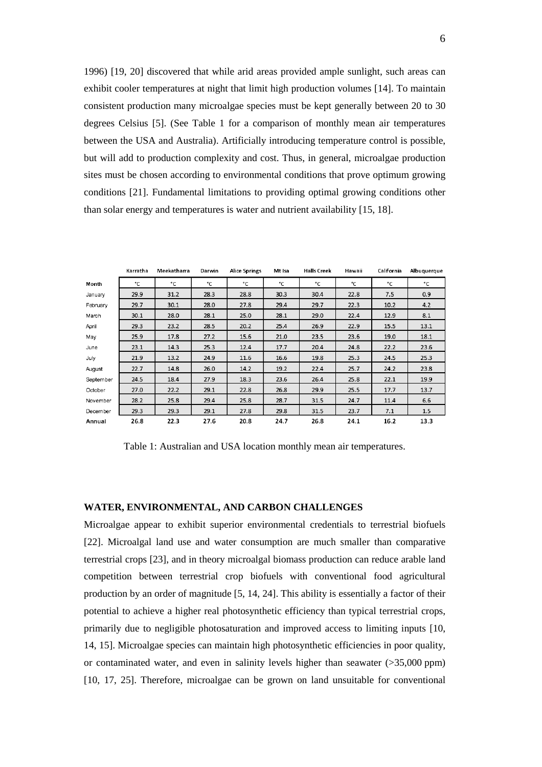1996) [19, 20] discovered that while arid areas provided ample sunlight, such areas can exhibit cooler temperatures at night that limit high production volumes [14]. To maintain consistent production many microalgae species must be kept generally between 20 to 30 degrees Celsius [5]. (See Table 1 for a comparison of monthly mean air temperatures between the USA and Australia). Artificially introducing temperature control is possible, but will add to production complexity and cost. Thus, in general, microalgae production sites must be chosen according to environmental conditions that prove optimum growing conditions [21]. Fundamental limitations to providing optimal growing conditions other than solar energy and temperatures is water and nutrient availability [15, 18].

|           | Karratha | Meekatharra | Darwin | <b>Alice Springs</b> | Mt Isa | <b>Halls Creek</b> | Hawaii | California | Albuquerque |
|-----------|----------|-------------|--------|----------------------|--------|--------------------|--------|------------|-------------|
| Month     | °C.      | °C.         | °C.    | °C                   | °C.    | °C.                | °C.    | °C.        | °C          |
| January   | 29.9     | 31.2        | 28.3   | 28.8                 | 30.3   | 30.4               | 22.8   | 7.5        | 0.9         |
| February  | 29.7     | 30.1        | 28.0   | 27.8                 | 29.4   | 29.7               | 22.3   | 10.2       | 4.2         |
| March     | 30.1     | 28.0        | 28.1   | 25.0                 | 28.1   | 29.0               | 22.4   | 12.9       | 8.1         |
| April     | 29.3     | 23.2        | 28.5   | 20.2                 | 25.4   | 26.9               | 22.9   | 15.5       | 13.1        |
| May       | 25.9     | 17.8        | 27.2   | 15.6                 | 21.0   | 23.5               | 23.6   | 19.0       | 18.1        |
| June      | 23.1     | 14.3        | 25.3   | 12.4                 | 17.7   | 20.4               | 24.8   | 22.2       | 23.6        |
| July      | 21.9     | 13.2        | 24.9   | 11.6                 | 16.6   | 19.8               | 25.3   | 24.5       | 25.3        |
| August    | 22.7     | 14.8        | 26.0   | 14.2                 | 19.2   | 22.4               | 25.7   | 24.2       | 23.8        |
| September | 24.5     | 18.4        | 27.9   | 18.3                 | 23.6   | 26.4               | 25.8   | 22.1       | 19.9        |
| October   | 27.0     | 22.2        | 29.1   | 22.8                 | 26.8   | 29.9               | 25.5   | 17.7       | 13.7        |
| November  | 28.2     | 25.8        | 29.4   | 25.8                 | 28.7   | 31.5               | 24.7   | 11.4       | 6.6         |
| December  | 29.3     | 29.3        | 29.1   | 27.8                 | 29.8   | 31.5               | 23.7   | 7.1        | 1.5         |
| Annual    | 26.8     | 22.3        | 27.6   | 20.8                 | 24.7   | 26.8               | 24.1   | 16.2       | 13.3        |

Table 1: Australian and USA location monthly mean air temperatures.

## **WATER, ENVIRONMENTAL, AND CARBON CHALLENGES**

Microalgae appear to exhibit superior environmental credentials to terrestrial biofuels [22]. Microalgal land use and water consumption are much smaller than comparative terrestrial crops [23], and in theory microalgal biomass production can reduce arable land competition between terrestrial crop biofuels with conventional food agricultural production by an order of magnitude [5, 14, 24]. This ability is essentially a factor of their potential to achieve a higher real photosynthetic efficiency than typical terrestrial crops, primarily due to negligible photosaturation and improved access to limiting inputs [10, 14, 15]. Microalgae species can maintain high photosynthetic efficiencies in poor quality, or contaminated water, and even in salinity levels higher than seawater (>35,000 ppm) [10, 17, 25]. Therefore, microalgae can be grown on land unsuitable for conventional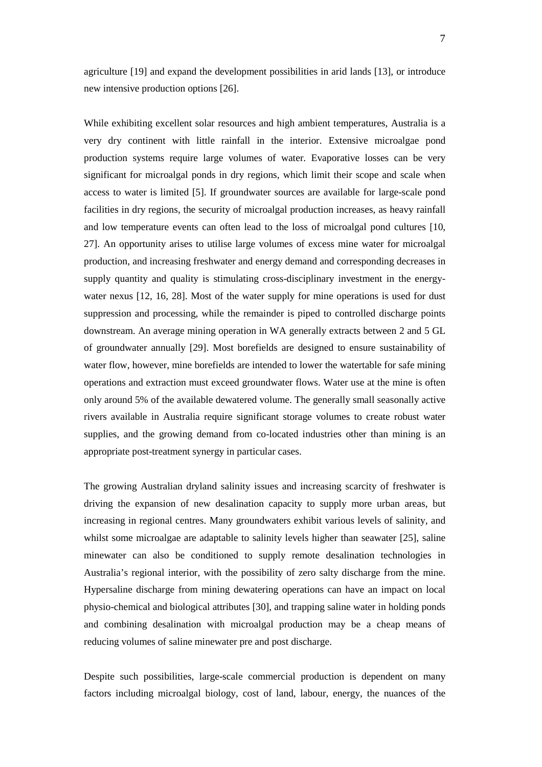agriculture [19] and expand the development possibilities in arid lands [13], or introduce new intensive production options [26].

While exhibiting excellent solar resources and high ambient temperatures, Australia is a very dry continent with little rainfall in the interior. Extensive microalgae pond production systems require large volumes of water. Evaporative losses can be very significant for microalgal ponds in dry regions, which limit their scope and scale when access to water is limited [5]. If groundwater sources are available for large-scale pond facilities in dry regions, the security of microalgal production increases, as heavy rainfall and low temperature events can often lead to the loss of microalgal pond cultures [10, 27]. An opportunity arises to utilise large volumes of excess mine water for microalgal production, and increasing freshwater and energy demand and corresponding decreases in supply quantity and quality is stimulating cross-disciplinary investment in the energywater nexus [12, 16, 28]. Most of the water supply for mine operations is used for dust suppression and processing, while the remainder is piped to controlled discharge points downstream. An average mining operation in WA generally extracts between 2 and 5 GL of groundwater annually [29]. Most borefields are designed to ensure sustainability of water flow, however, mine borefields are intended to lower the watertable for safe mining operations and extraction must exceed groundwater flows. Water use at the mine is often only around 5% of the available dewatered volume. The generally small seasonally active rivers available in Australia require significant storage volumes to create robust water supplies, and the growing demand from co-located industries other than mining is an appropriate post-treatment synergy in particular cases.

The growing Australian dryland salinity issues and increasing scarcity of freshwater is driving the expansion of new desalination capacity to supply more urban areas, but increasing in regional centres. Many groundwaters exhibit various levels of salinity, and whilst some microalgae are adaptable to salinity levels higher than seawater [25], saline minewater can also be conditioned to supply remote desalination technologies in Australia's regional interior, with the possibility of zero salty discharge from the mine. Hypersaline discharge from mining dewatering operations can have an impact on local physio-chemical and biological attributes [30], and trapping saline water in holding ponds and combining desalination with microalgal production may be a cheap means of reducing volumes of saline minewater pre and post discharge.

Despite such possibilities, large-scale commercial production is dependent on many factors including microalgal biology, cost of land, labour, energy, the nuances of the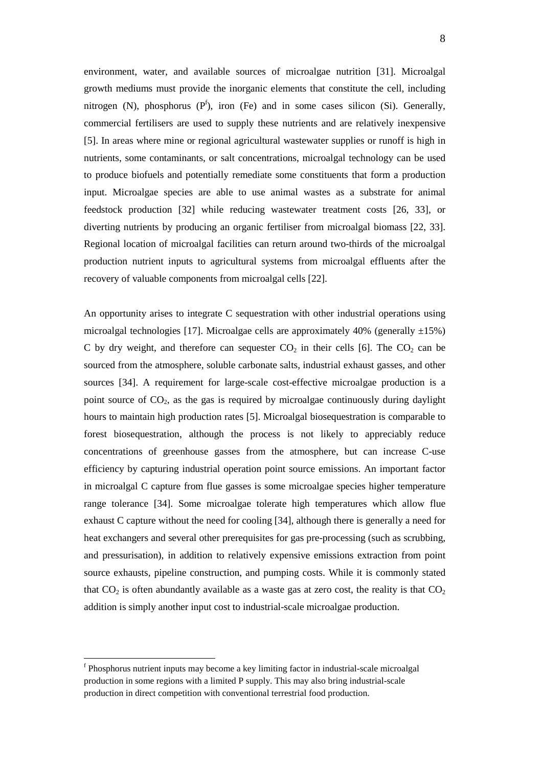environment, water, and available sources of microalgae nutrition [31]. Microalgal growth mediums must provide the inorganic elements that constitute the cell, including nitrogen (N), phosphorus  $(P^f)$ , iron (Fe) and in some cases silicon (Si). Generally, commercial fertilisers are used to supply these nutrients and are relatively inexpensive [5]. In areas where mine or regional agricultural wastewater supplies or runoff is high in nutrients, some contaminants, or salt concentrations, microalgal technology can be used to produce biofuels and potentially remediate some constituents that form a production input. Microalgae species are able to use animal wastes as a substrate for animal feedstock production [32] while reducing wastewater treatment costs [26, 33], or diverting nutrients by producing an organic fertiliser from microalgal biomass [22, 33]. Regional location of microalgal facilities can return around two-thirds of the microalgal production nutrient inputs to agricultural systems from microalgal effluents after the recovery of valuable components from microalgal cells [22].

An opportunity arises to integrate C sequestration with other industrial operations using microalgal technologies [17]. Microalgae cells are approximately 40% (generally  $\pm 15\%$ ) C by dry weight, and therefore can sequester  $CO<sub>2</sub>$  in their cells [6]. The  $CO<sub>2</sub>$  can be sourced from the atmosphere, soluble carbonate salts, industrial exhaust gasses, and other sources [34]. A requirement for large-scale cost-effective microalgae production is a point source of  $CO<sub>2</sub>$ , as the gas is required by microalgae continuously during daylight hours to maintain high production rates [5]. Microalgal biosequestration is comparable to forest biosequestration, although the process is not likely to appreciably reduce concentrations of greenhouse gasses from the atmosphere, but can increase C-use efficiency by capturing industrial operation point source emissions. An important factor in microalgal C capture from flue gasses is some microalgae species higher temperature range tolerance [34]. Some microalgae tolerate high temperatures which allow flue exhaust C capture without the need for cooling [34], although there is generally a need for heat exchangers and several other prerequisites for gas pre-processing (such as scrubbing, and pressurisation), in addition to relatively expensive emissions extraction from point source exhausts, pipeline construction, and pumping costs. While it is commonly stated that  $CO<sub>2</sub>$  is often abundantly available as a waste gas at zero cost, the reality is that  $CO<sub>2</sub>$ addition is simply another input cost to industrial-scale microalgae production.

 $\overline{a}$ 

<sup>&</sup>lt;sup>f</sup> Phosphorus nutrient inputs may become a key limiting factor in industrial-scale microalgal production in some regions with a limited P supply. This may also bring industrial-scale production in direct competition with conventional terrestrial food production.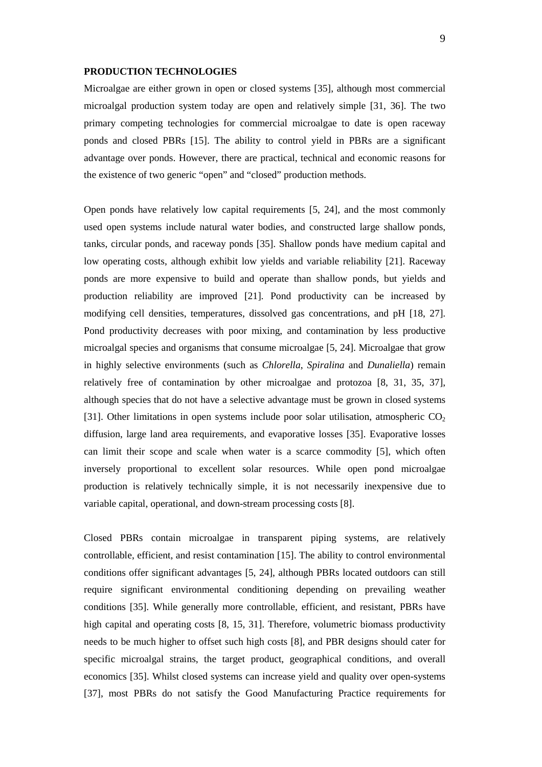#### **PRODUCTION TECHNOLOGIES**

Microalgae are either grown in open or closed systems [35], although most commercial microalgal production system today are open and relatively simple [31, 36]. The two primary competing technologies for commercial microalgae to date is open raceway ponds and closed PBRs [15]. The ability to control yield in PBRs are a significant advantage over ponds. However, there are practical, technical and economic reasons for the existence of two generic "open" and "closed" production methods.

Open ponds have relatively low capital requirements [5, 24], and the most commonly used open systems include natural water bodies, and constructed large shallow ponds, tanks, circular ponds, and raceway ponds [35]. Shallow ponds have medium capital and low operating costs, although exhibit low yields and variable reliability [21]. Raceway ponds are more expensive to build and operate than shallow ponds, but yields and production reliability are improved [21]. Pond productivity can be increased by modifying cell densities, temperatures, dissolved gas concentrations, and pH [18, 27]. Pond productivity decreases with poor mixing, and contamination by less productive microalgal species and organisms that consume microalgae [5, 24]. Microalgae that grow in highly selective environments (such as *Chlorella*, *Spiralina* and *Dunaliella*) remain relatively free of contamination by other microalgae and protozoa [8, 31, 35, 37], although species that do not have a selective advantage must be grown in closed systems [31]. Other limitations in open systems include poor solar utilisation, atmospheric  $CO<sub>2</sub>$ diffusion, large land area requirements, and evaporative losses [35]. Evaporative losses can limit their scope and scale when water is a scarce commodity [5], which often inversely proportional to excellent solar resources. While open pond microalgae production is relatively technically simple, it is not necessarily inexpensive due to variable capital, operational, and down-stream processing costs [8].

Closed PBRs contain microalgae in transparent piping systems, are relatively controllable, efficient, and resist contamination [15]. The ability to control environmental conditions offer significant advantages [5, 24], although PBRs located outdoors can still require significant environmental conditioning depending on prevailing weather conditions [35]. While generally more controllable, efficient, and resistant, PBRs have high capital and operating costs [8, 15, 31]. Therefore, volumetric biomass productivity needs to be much higher to offset such high costs [8], and PBR designs should cater for specific microalgal strains, the target product, geographical conditions, and overall economics [35]. Whilst closed systems can increase yield and quality over open-systems [37], most PBRs do not satisfy the Good Manufacturing Practice requirements for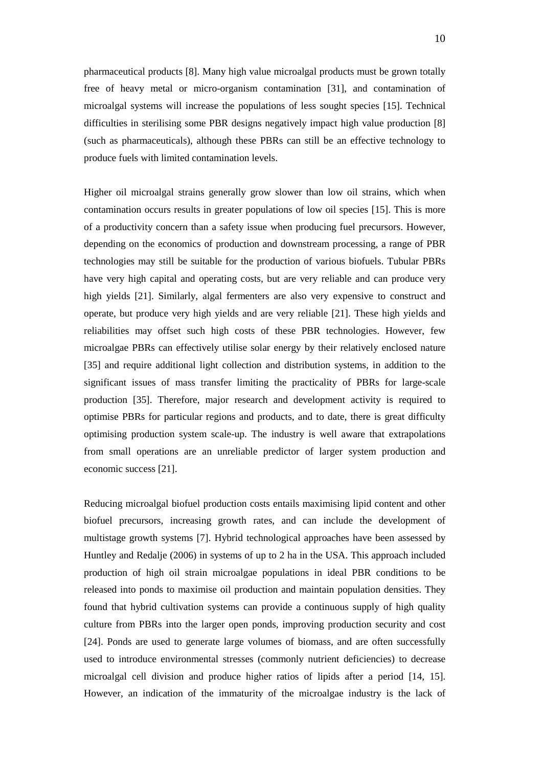pharmaceutical products [8]. Many high value microalgal products must be grown totally free of heavy metal or micro-organism contamination [31], and contamination of microalgal systems will increase the populations of less sought species [15]. Technical difficulties in sterilising some PBR designs negatively impact high value production [8] (such as pharmaceuticals), although these PBRs can still be an effective technology to produce fuels with limited contamination levels.

Higher oil microalgal strains generally grow slower than low oil strains, which when contamination occurs results in greater populations of low oil species [15]. This is more of a productivity concern than a safety issue when producing fuel precursors. However, depending on the economics of production and downstream processing, a range of PBR technologies may still be suitable for the production of various biofuels. Tubular PBRs have very high capital and operating costs, but are very reliable and can produce very high yields [21]. Similarly, algal fermenters are also very expensive to construct and operate, but produce very high yields and are very reliable [21]. These high yields and reliabilities may offset such high costs of these PBR technologies. However, few microalgae PBRs can effectively utilise solar energy by their relatively enclosed nature [35] and require additional light collection and distribution systems, in addition to the significant issues of mass transfer limiting the practicality of PBRs for large-scale production [35]. Therefore, major research and development activity is required to optimise PBRs for particular regions and products, and to date, there is great difficulty optimising production system scale-up. The industry is well aware that extrapolations from small operations are an unreliable predictor of larger system production and economic success [21].

Reducing microalgal biofuel production costs entails maximising lipid content and other biofuel precursors, increasing growth rates, and can include the development of multistage growth systems [7]. Hybrid technological approaches have been assessed by Huntley and Redalje (2006) in systems of up to 2 ha in the USA. This approach included production of high oil strain microalgae populations in ideal PBR conditions to be released into ponds to maximise oil production and maintain population densities. They found that hybrid cultivation systems can provide a continuous supply of high quality culture from PBRs into the larger open ponds, improving production security and cost [24]. Ponds are used to generate large volumes of biomass, and are often successfully used to introduce environmental stresses (commonly nutrient deficiencies) to decrease microalgal cell division and produce higher ratios of lipids after a period [14, 15]. However, an indication of the immaturity of the microalgae industry is the lack of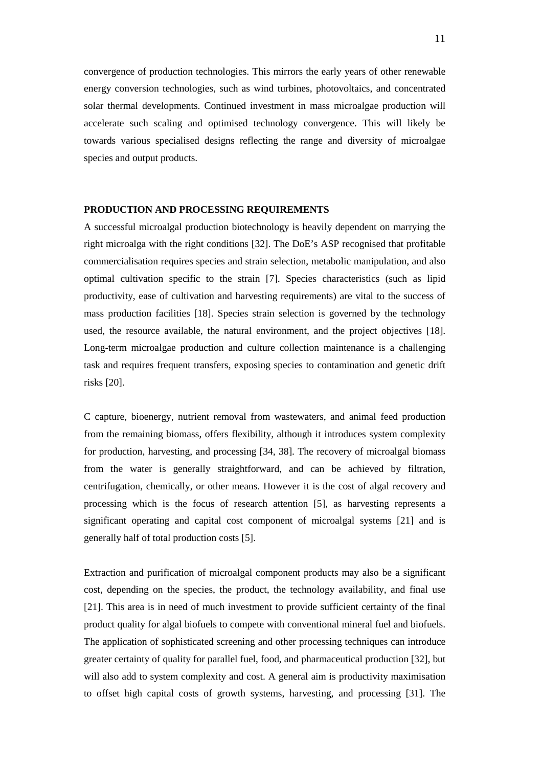convergence of production technologies. This mirrors the early years of other renewable energy conversion technologies, such as wind turbines, photovoltaics, and concentrated solar thermal developments. Continued investment in mass microalgae production will accelerate such scaling and optimised technology convergence. This will likely be towards various specialised designs reflecting the range and diversity of microalgae species and output products.

#### **PRODUCTION AND PROCESSING REQUIREMENTS**

A successful microalgal production biotechnology is heavily dependent on marrying the right microalga with the right conditions [32]. The DoE's ASP recognised that profitable commercialisation requires species and strain selection, metabolic manipulation, and also optimal cultivation specific to the strain [7]. Species characteristics (such as lipid productivity, ease of cultivation and harvesting requirements) are vital to the success of mass production facilities [18]. Species strain selection is governed by the technology used, the resource available, the natural environment, and the project objectives [18]. Long-term microalgae production and culture collection maintenance is a challenging task and requires frequent transfers, exposing species to contamination and genetic drift risks [20].

C capture, bioenergy, nutrient removal from wastewaters, and animal feed production from the remaining biomass, offers flexibility, although it introduces system complexity for production, harvesting, and processing [34, 38]. The recovery of microalgal biomass from the water is generally straightforward, and can be achieved by filtration, centrifugation, chemically, or other means. However it is the cost of algal recovery and processing which is the focus of research attention [5], as harvesting represents a significant operating and capital cost component of microalgal systems [21] and is generally half of total production costs [5].

Extraction and purification of microalgal component products may also be a significant cost, depending on the species, the product, the technology availability, and final use [21]. This area is in need of much investment to provide sufficient certainty of the final product quality for algal biofuels to compete with conventional mineral fuel and biofuels. The application of sophisticated screening and other processing techniques can introduce greater certainty of quality for parallel fuel, food, and pharmaceutical production [32], but will also add to system complexity and cost. A general aim is productivity maximisation to offset high capital costs of growth systems, harvesting, and processing [31]. The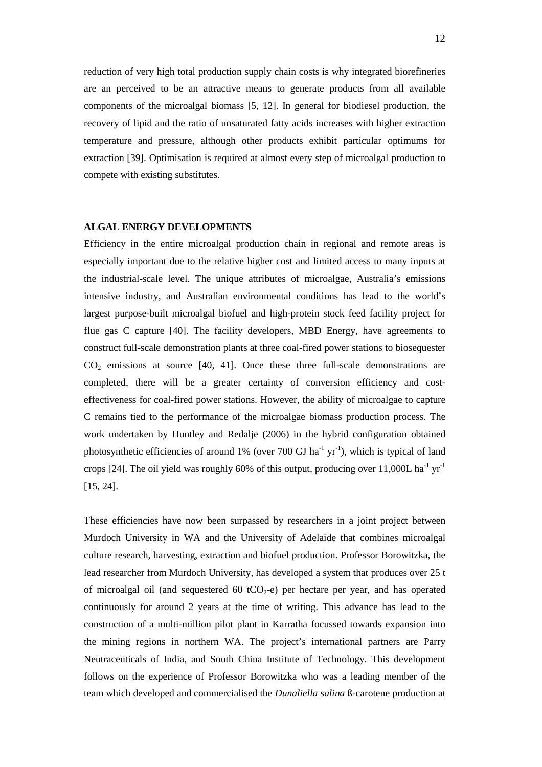reduction of very high total production supply chain costs is why integrated biorefineries are an perceived to be an attractive means to generate products from all available components of the microalgal biomass [5, 12]. In general for biodiesel production, the recovery of lipid and the ratio of unsaturated fatty acids increases with higher extraction temperature and pressure, although other products exhibit particular optimums for extraction [39]. Optimisation is required at almost every step of microalgal production to compete with existing substitutes.

## **ALGAL ENERGY DEVELOPMENTS**

Efficiency in the entire microalgal production chain in regional and remote areas is especially important due to the relative higher cost and limited access to many inputs at the industrial-scale level. The unique attributes of microalgae, Australia's emissions intensive industry, and Australian environmental conditions has lead to the world's largest purpose-built microalgal biofuel and high-protein stock feed facility project for flue gas C capture [40]. The facility developers, MBD Energy, have agreements to construct full-scale demonstration plants at three coal-fired power stations to biosequester  $CO<sub>2</sub>$  emissions at source [40, 41]. Once these three full-scale demonstrations are completed, there will be a greater certainty of conversion efficiency and costeffectiveness for coal-fired power stations. However, the ability of microalgae to capture C remains tied to the performance of the microalgae biomass production process. The work undertaken by Huntley and Redalje (2006) in the hybrid configuration obtained photosynthetic efficiencies of around 1% (over 700 GJ ha<sup>-1</sup> yr<sup>-1</sup>), which is typical of land crops [24]. The oil yield was roughly 60% of this output, producing over 11,000L ha<sup>-1</sup> yr<sup>-1</sup> [15, 24].

These efficiencies have now been surpassed by researchers in a joint project between Murdoch University in WA and the University of Adelaide that combines microalgal culture research, harvesting, extraction and biofuel production. Professor Borowitzka, the lead researcher from Murdoch University, has developed a system that produces over 25 t of microalgal oil (and sequestered 60 tCO<sub>2</sub>-e) per hectare per year, and has operated continuously for around 2 years at the time of writing. This advance has lead to the construction of a multi-million pilot plant in Karratha focussed towards expansion into the mining regions in northern WA. The project's international partners are Parry Neutraceuticals of India, and South China Institute of Technology. This development follows on the experience of Professor Borowitzka who was a leading member of the team which developed and commercialised the *Dunaliella salina* ß-carotene production at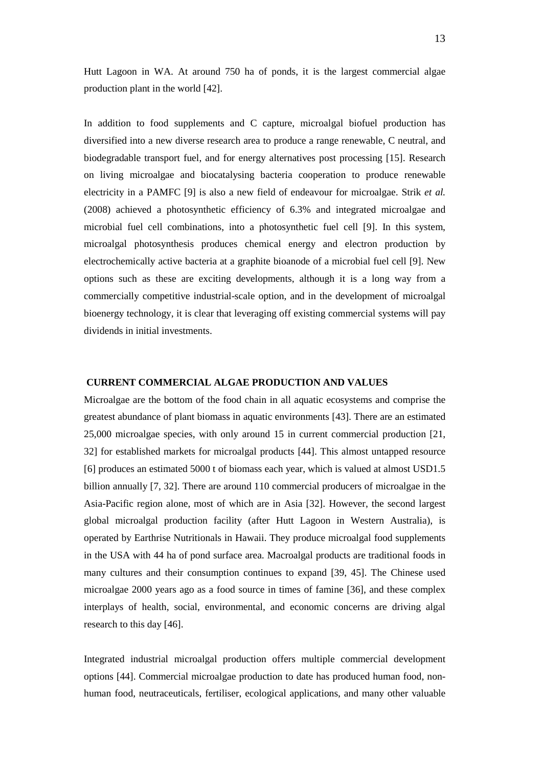Hutt Lagoon in WA. At around 750 ha of ponds, it is the largest commercial algae production plant in the world [42].

In addition to food supplements and C capture, microalgal biofuel production has diversified into a new diverse research area to produce a range renewable, C neutral, and biodegradable transport fuel, and for energy alternatives post processing [15]. Research on living microalgae and biocatalysing bacteria cooperation to produce renewable electricity in a PAMFC [9] is also a new field of endeavour for microalgae. Strik *et al.* (2008) achieved a photosynthetic efficiency of 6.3% and integrated microalgae and microbial fuel cell combinations, into a photosynthetic fuel cell [9]. In this system, microalgal photosynthesis produces chemical energy and electron production by electrochemically active bacteria at a graphite bioanode of a microbial fuel cell [9]. New options such as these are exciting developments, although it is a long way from a commercially competitive industrial-scale option, and in the development of microalgal bioenergy technology, it is clear that leveraging off existing commercial systems will pay dividends in initial investments.

#### **CURRENT COMMERCIAL ALGAE PRODUCTION AND VALUES**

Microalgae are the bottom of the food chain in all aquatic ecosystems and comprise the greatest abundance of plant biomass in aquatic environments [43]. There are an estimated 25,000 microalgae species, with only around 15 in current commercial production [21, 32] for established markets for microalgal products [44]. This almost untapped resource [6] produces an estimated 5000 t of biomass each year, which is valued at almost USD1.5 billion annually [7, 32]. There are around 110 commercial producers of microalgae in the Asia-Pacific region alone, most of which are in Asia [32]. However, the second largest global microalgal production facility (after Hutt Lagoon in Western Australia), is operated by Earthrise Nutritionals in Hawaii. They produce microalgal food supplements in the USA with 44 ha of pond surface area. Macroalgal products are traditional foods in many cultures and their consumption continues to expand [39, 45]. The Chinese used microalgae 2000 years ago as a food source in times of famine [36], and these complex interplays of health, social, environmental, and economic concerns are driving algal research to this day [46].

Integrated industrial microalgal production offers multiple commercial development options [44]. Commercial microalgae production to date has produced human food, nonhuman food, neutraceuticals, fertiliser, ecological applications, and many other valuable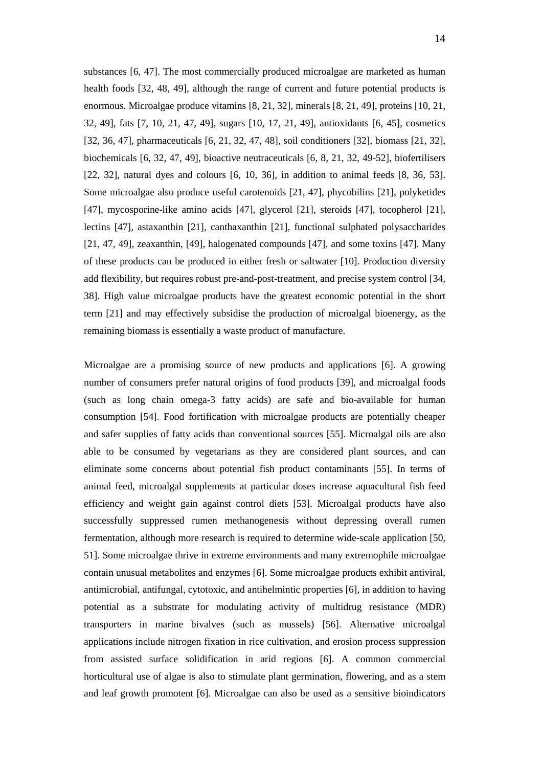substances [6, 47]. The most commercially produced microalgae are marketed as human health foods [32, 48, 49], although the range of current and future potential products is enormous. Microalgae produce vitamins [8, 21, 32], minerals [8, 21, 49], proteins [10, 21, 32, 49], fats [7, 10, 21, 47, 49], sugars [10, 17, 21, 49], antioxidants [6, 45], cosmetics [32, 36, 47], pharmaceuticals [6, 21, 32, 47, 48], soil conditioners [32], biomass [21, 32], biochemicals [6, 32, 47, 49], bioactive neutraceuticals [6, 8, 21, 32, 49-52], biofertilisers [22, 32], natural dyes and colours [6, 10, 36], in addition to animal feeds [8, 36, 53]. Some microalgae also produce useful carotenoids [21, 47], phycobilins [21], polyketides [47], mycosporine-like amino acids [47], glycerol [21], steroids [47], tocopherol [21], lectins [47], astaxanthin [21], canthaxanthin [21], functional sulphated polysaccharides [21, 47, 49], zeaxanthin, [49], halogenated compounds [47], and some toxins [47]. Many of these products can be produced in either fresh or saltwater [10]. Production diversity add flexibility, but requires robust pre-and-post-treatment, and precise system control [34, 38]. High value microalgae products have the greatest economic potential in the short term [21] and may effectively subsidise the production of microalgal bioenergy, as the remaining biomass is essentially a waste product of manufacture.

Microalgae are a promising source of new products and applications [6]. A growing number of consumers prefer natural origins of food products [39], and microalgal foods (such as long chain omega-3 fatty acids) are safe and bio-available for human consumption [54]. Food fortification with microalgae products are potentially cheaper and safer supplies of fatty acids than conventional sources [55]. Microalgal oils are also able to be consumed by vegetarians as they are considered plant sources, and can eliminate some concerns about potential fish product contaminants [55]. In terms of animal feed, microalgal supplements at particular doses increase aquacultural fish feed efficiency and weight gain against control diets [53]. Microalgal products have also successfully suppressed rumen methanogenesis without depressing overall rumen fermentation, although more research is required to determine wide-scale application [50, 51]. Some microalgae thrive in extreme environments and many extremophile microalgae contain unusual metabolites and enzymes [6]. Some microalgae products exhibit antiviral, antimicrobial, antifungal, cytotoxic, and antihelmintic properties [6], in addition to having potential as a substrate for modulating activity of multidrug resistance (MDR) transporters in marine bivalves (such as mussels) [56]. Alternative microalgal applications include nitrogen fixation in rice cultivation, and erosion process suppression from assisted surface solidification in arid regions [6]. A common commercial horticultural use of algae is also to stimulate plant germination, flowering, and as a stem and leaf growth promotent [6]. Microalgae can also be used as a sensitive bioindicators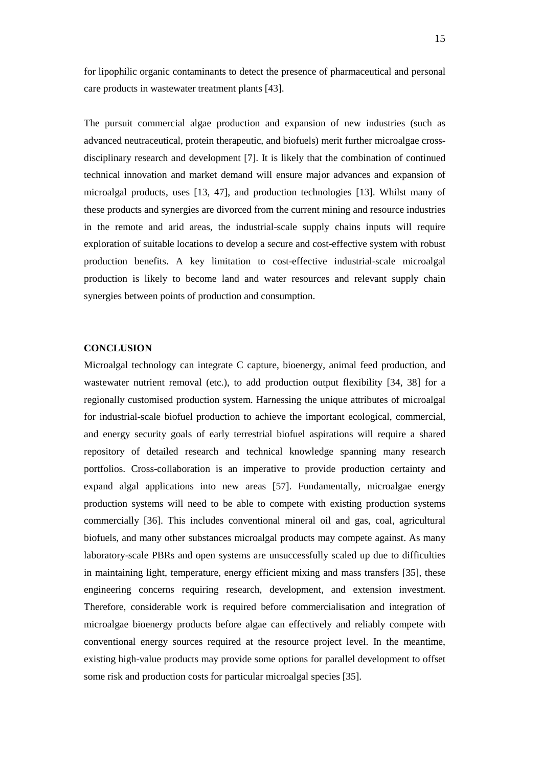for lipophilic organic contaminants to detect the presence of pharmaceutical and personal care products in wastewater treatment plants [43].

The pursuit commercial algae production and expansion of new industries (such as advanced neutraceutical, protein therapeutic, and biofuels) merit further microalgae crossdisciplinary research and development [7]. It is likely that the combination of continued technical innovation and market demand will ensure major advances and expansion of microalgal products, uses [13, 47], and production technologies [13]. Whilst many of these products and synergies are divorced from the current mining and resource industries in the remote and arid areas, the industrial-scale supply chains inputs will require exploration of suitable locations to develop a secure and cost-effective system with robust production benefits. A key limitation to cost-effective industrial-scale microalgal production is likely to become land and water resources and relevant supply chain synergies between points of production and consumption.

## **CONCLUSION**

Microalgal technology can integrate C capture, bioenergy, animal feed production, and wastewater nutrient removal (etc.), to add production output flexibility [34, 38] for a regionally customised production system. Harnessing the unique attributes of microalgal for industrial-scale biofuel production to achieve the important ecological, commercial, and energy security goals of early terrestrial biofuel aspirations will require a shared repository of detailed research and technical knowledge spanning many research portfolios. Cross-collaboration is an imperative to provide production certainty and expand algal applications into new areas [57]. Fundamentally, microalgae energy production systems will need to be able to compete with existing production systems commercially [36]. This includes conventional mineral oil and gas, coal, agricultural biofuels, and many other substances microalgal products may compete against. As many laboratory-scale PBRs and open systems are unsuccessfully scaled up due to difficulties in maintaining light, temperature, energy efficient mixing and mass transfers [35], these engineering concerns requiring research, development, and extension investment. Therefore, considerable work is required before commercialisation and integration of microalgae bioenergy products before algae can effectively and reliably compete with conventional energy sources required at the resource project level. In the meantime, existing high-value products may provide some options for parallel development to offset some risk and production costs for particular microalgal species [35].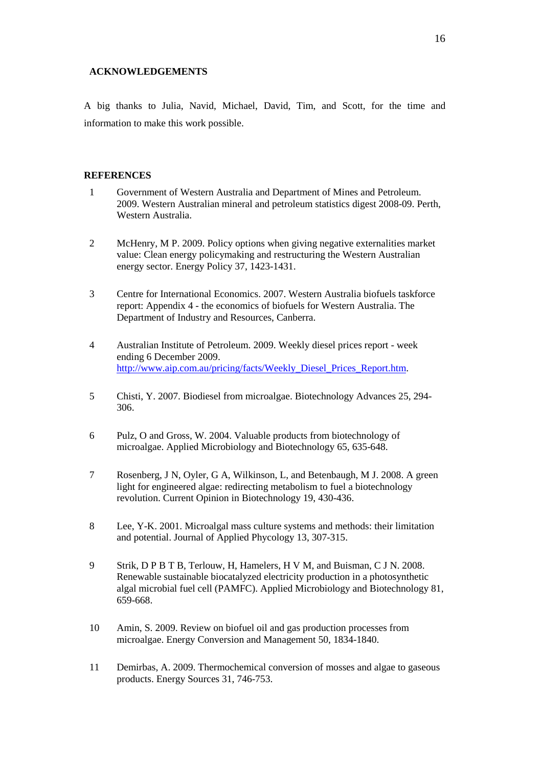## **ACKNOWLEDGEMENTS**

A big thanks to Julia, Navid, Michael, David, Tim, and Scott, for the time and information to make this work possible.

## **REFERENCES**

- 1 Government of Western Australia and Department of Mines and Petroleum. 2009. Western Australian mineral and petroleum statistics digest 2008-09. Perth, Western Australia.
- 2 McHenry, M P. 2009. Policy options when giving negative externalities market value: Clean energy policymaking and restructuring the Western Australian energy sector. Energy Policy 37, 1423-1431.
- 3 Centre for International Economics. 2007. Western Australia biofuels taskforce report: Appendix 4 - the economics of biofuels for Western Australia. The Department of Industry and Resources, Canberra.
- 4 Australian Institute of Petroleum. 2009. Weekly diesel prices report week ending 6 December 2009. http://www.aip.com.au/pricing/facts/Weekly\_Diesel\_Prices\_Report.htm.
- 5 Chisti, Y. 2007. Biodiesel from microalgae. Biotechnology Advances 25, 294- 306.
- 6 Pulz, O and Gross, W. 2004. Valuable products from biotechnology of microalgae. Applied Microbiology and Biotechnology 65, 635-648.
- 7 Rosenberg, J N, Oyler, G A, Wilkinson, L, and Betenbaugh, M J. 2008. A green light for engineered algae: redirecting metabolism to fuel a biotechnology revolution. Current Opinion in Biotechnology 19, 430-436.
- 8 Lee, Y-K. 2001. Microalgal mass culture systems and methods: their limitation and potential. Journal of Applied Phycology 13, 307-315.
- 9 Strik, D P B T B, Terlouw, H, Hamelers, H V M, and Buisman, C J N. 2008. Renewable sustainable biocatalyzed electricity production in a photosynthetic algal microbial fuel cell (PAMFC). Applied Microbiology and Biotechnology 81, 659-668.
- 10 Amin, S. 2009. Review on biofuel oil and gas production processes from microalgae. Energy Conversion and Management 50, 1834-1840.
- 11 Demirbas, A. 2009. Thermochemical conversion of mosses and algae to gaseous products. Energy Sources 31, 746-753.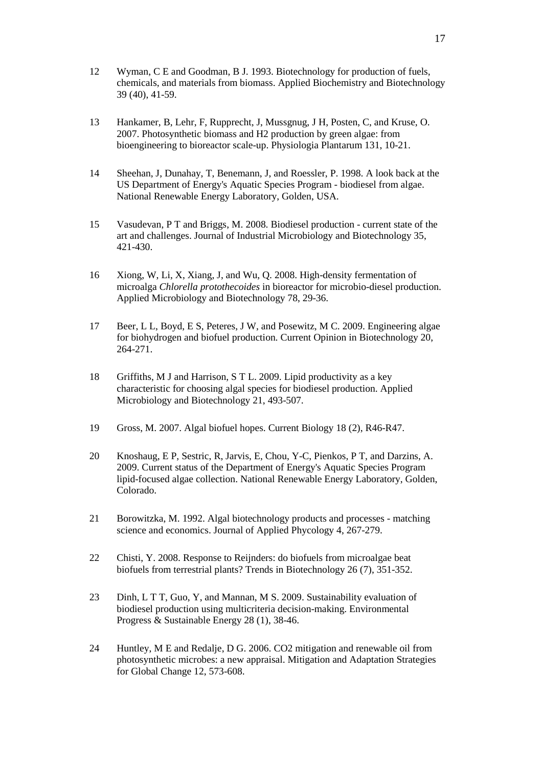- 12 Wyman, C E and Goodman, B J. 1993. Biotechnology for production of fuels, chemicals, and materials from biomass. Applied Biochemistry and Biotechnology 39 (40), 41-59.
- 13 Hankamer, B, Lehr, F, Rupprecht, J, Mussgnug, J H, Posten, C, and Kruse, O. 2007. Photosynthetic biomass and H2 production by green algae: from bioengineering to bioreactor scale-up. Physiologia Plantarum 131, 10-21.
- 14 Sheehan, J, Dunahay, T, Benemann, J, and Roessler, P. 1998. A look back at the US Department of Energy's Aquatic Species Program - biodiesel from algae. National Renewable Energy Laboratory, Golden, USA.
- 15 Vasudevan, P T and Briggs, M. 2008. Biodiesel production current state of the art and challenges. Journal of Industrial Microbiology and Biotechnology 35, 421-430.
- 16 Xiong, W, Li, X, Xiang, J, and Wu, Q. 2008. High-density fermentation of microalga *Chlorella protothecoides* in bioreactor for microbio-diesel production. Applied Microbiology and Biotechnology 78, 29-36.
- 17 Beer, L L, Boyd, E S, Peteres, J W, and Posewitz, M C. 2009. Engineering algae for biohydrogen and biofuel production. Current Opinion in Biotechnology 20, 264-271.
- 18 Griffiths, M J and Harrison, S T L. 2009. Lipid productivity as a key characteristic for choosing algal species for biodiesel production. Applied Microbiology and Biotechnology 21, 493-507.
- 19 Gross, M. 2007. Algal biofuel hopes. Current Biology 18 (2), R46-R47.
- 20 Knoshaug, E P, Sestric, R, Jarvis, E, Chou, Y-C, Pienkos, P T, and Darzins, A. 2009. Current status of the Department of Energy's Aquatic Species Program lipid-focused algae collection. National Renewable Energy Laboratory, Golden, Colorado.
- 21 Borowitzka, M. 1992. Algal biotechnology products and processes matching science and economics. Journal of Applied Phycology 4, 267-279.
- 22 Chisti, Y. 2008. Response to Reijnders: do biofuels from microalgae beat biofuels from terrestrial plants? Trends in Biotechnology 26 (7), 351-352.
- 23 Dinh, L T T, Guo, Y, and Mannan, M S. 2009. Sustainability evaluation of biodiesel production using multicriteria decision-making. Environmental Progress & Sustainable Energy 28 (1), 38-46.
- 24 Huntley, M E and Redalje, D G. 2006. CO2 mitigation and renewable oil from photosynthetic microbes: a new appraisal. Mitigation and Adaptation Strategies for Global Change 12, 573-608.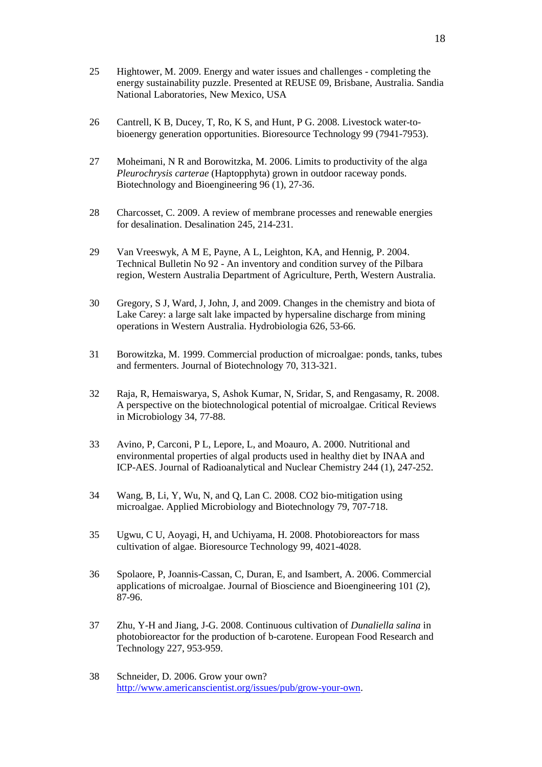- 25 Hightower, M. 2009. Energy and water issues and challenges completing the energy sustainability puzzle. Presented at REUSE 09, Brisbane, Australia. Sandia National Laboratories, New Mexico, USA
- 26 Cantrell, K B, Ducey, T, Ro, K S, and Hunt, P G. 2008. Livestock water-tobioenergy generation opportunities. Bioresource Technology 99 (7941-7953).
- 27 Moheimani, N R and Borowitzka, M. 2006. Limits to productivity of the alga *Pleurochrysis carterae* (Haptopphyta) grown in outdoor raceway ponds. Biotechnology and Bioengineering 96 (1), 27-36.
- 28 Charcosset, C. 2009. A review of membrane processes and renewable energies for desalination. Desalination 245, 214-231.
- 29 Van Vreeswyk, A M E, Payne, A L, Leighton, KA, and Hennig, P. 2004. Technical Bulletin No 92 - An inventory and condition survey of the Pilbara region, Western Australia Department of Agriculture, Perth, Western Australia.
- 30 Gregory, S J, Ward, J, John, J, and 2009. Changes in the chemistry and biota of Lake Carey: a large salt lake impacted by hypersaline discharge from mining operations in Western Australia. Hydrobiologia 626, 53-66.
- 31 Borowitzka, M. 1999. Commercial production of microalgae: ponds, tanks, tubes and fermenters. Journal of Biotechnology 70, 313-321.
- 32 Raja, R, Hemaiswarya, S, Ashok Kumar, N, Sridar, S, and Rengasamy, R. 2008. A perspective on the biotechnological potential of microalgae. Critical Reviews in Microbiology 34, 77-88.
- 33 Avino, P, Carconi, P L, Lepore, L, and Moauro, A. 2000. Nutritional and environmental properties of algal products used in healthy diet by INAA and ICP-AES. Journal of Radioanalytical and Nuclear Chemistry 244 (1), 247-252.
- 34 Wang, B, Li, Y, Wu, N, and Q, Lan C. 2008. CO2 bio-mitigation using microalgae. Applied Microbiology and Biotechnology 79, 707-718.
- 35 Ugwu, C U, Aoyagi, H, and Uchiyama, H. 2008. Photobioreactors for mass cultivation of algae. Bioresource Technology 99, 4021-4028.
- 36 Spolaore, P, Joannis-Cassan, C, Duran, E, and Isambert, A. 2006. Commercial applications of microalgae. Journal of Bioscience and Bioengineering 101 (2), 87-96.
- 37 Zhu, Y-H and Jiang, J-G. 2008. Continuous cultivation of *Dunaliella salina* in photobioreactor for the production of b-carotene. European Food Research and Technology 227, 953-959.
- 38 Schneider, D. 2006. Grow your own? http://www.americanscientist.org/issues/pub/grow-your-own.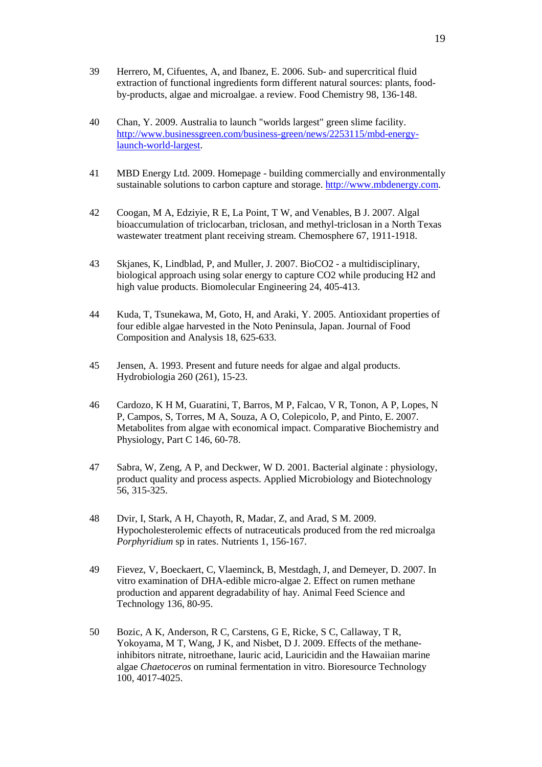- 39 Herrero, M, Cifuentes, A, and Ibanez, E. 2006. Sub- and supercritical fluid extraction of functional ingredients form different natural sources: plants, foodby-products, algae and microalgae. a review. Food Chemistry 98, 136-148.
- 40 Chan, Y. 2009. Australia to launch "worlds largest" green slime facility. http://www.businessgreen.com/business-green/news/2253115/mbd-energylaunch-world-largest.
- 41 MBD Energy Ltd. 2009. Homepage building commercially and environmentally sustainable solutions to carbon capture and storage. http://www.mbdenergy.com.
- 42 Coogan, M A, Edziyie, R E, La Point, T W, and Venables, B J. 2007. Algal bioaccumulation of triclocarban, triclosan, and methyl-triclosan in a North Texas wastewater treatment plant receiving stream. Chemosphere 67, 1911-1918.
- 43 Skjanes, K, Lindblad, P, and Muller, J. 2007. BioCO2 a multidisciplinary, biological approach using solar energy to capture CO2 while producing H2 and high value products. Biomolecular Engineering 24, 405-413.
- 44 Kuda, T, Tsunekawa, M, Goto, H, and Araki, Y. 2005. Antioxidant properties of four edible algae harvested in the Noto Peninsula, Japan. Journal of Food Composition and Analysis 18, 625-633.
- 45 Jensen, A. 1993. Present and future needs for algae and algal products. Hydrobiologia 260 (261), 15-23.
- 46 Cardozo, K H M, Guaratini, T, Barros, M P, Falcao, V R, Tonon, A P, Lopes, N P, Campos, S, Torres, M A, Souza, A O, Colepicolo, P, and Pinto, E. 2007. Metabolites from algae with economical impact. Comparative Biochemistry and Physiology, Part C 146, 60-78.
- 47 Sabra, W, Zeng, A P, and Deckwer, W D. 2001. Bacterial alginate : physiology, product quality and process aspects. Applied Microbiology and Biotechnology 56, 315-325.
- 48 Dvir, I, Stark, A H, Chayoth, R, Madar, Z, and Arad, S M. 2009. Hypocholesterolemic effects of nutraceuticals produced from the red microalga *Porphyridium* sp in rates. Nutrients 1, 156-167.
- 49 Fievez, V, Boeckaert, C, Vlaeminck, B, Mestdagh, J, and Demeyer, D. 2007. In vitro examination of DHA-edible micro-algae 2. Effect on rumen methane production and apparent degradability of hay. Animal Feed Science and Technology 136, 80-95.
- 50 Bozic, A K, Anderson, R C, Carstens, G E, Ricke, S C, Callaway, T R, Yokoyama, M T, Wang, J K, and Nisbet, D J. 2009. Effects of the methaneinhibitors nitrate, nitroethane, lauric acid, Lauricidin and the Hawaiian marine algae *Chaetoceros* on ruminal fermentation in vitro. Bioresource Technology 100, 4017-4025.